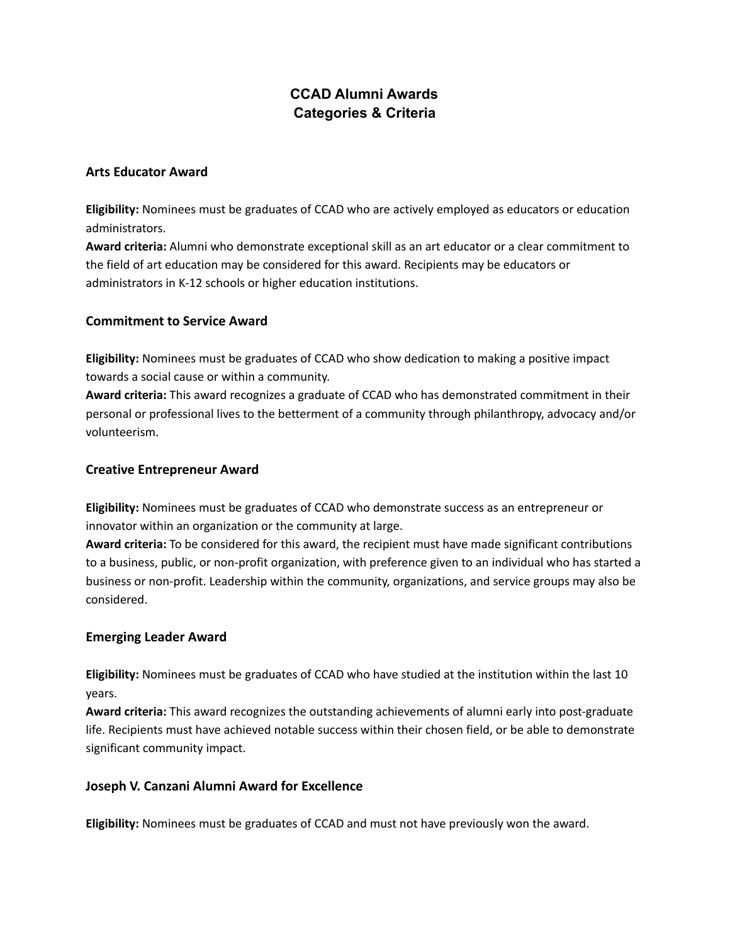# **CCAD Alumni Awards Categories & Criteria**

#### **Arts Educator Award**

**Eligibility:** Nominees must be graduates of CCAD who are actively employed as educators or education administrators.

**Award criteria:** Alumni who demonstrate exceptional skill as an art educator or a clear commitment to the field of art education may be considered for this award. Recipients may be educators or administrators in K-12 schools or higher education institutions.

# **Commitment to Service Award**

**Eligibility:** Nominees must be graduates of CCAD who show dedication to making a positive impact towards a social cause or within a community.

**Award criteria:** This award recognizes a graduate of CCAD who has demonstrated commitment in their personal or professional lives to the betterment of a community through philanthropy, advocacy and/or volunteerism.

### **Creative Entrepreneur Award**

**Eligibility:** Nominees must be graduates of CCAD who demonstrate success as an entrepreneur or innovator within an organization or the community at large.

**Award criteria:** To be considered for this award, the recipient must have made significant contributions to a business, public, or non-profit organization, with preference given to an individual who has started a business or non-profit. Leadership within the community, organizations, and service groups may also be considered.

# **Emerging Leader Award**

**Eligibility:** Nominees must be graduates of CCAD who have studied at the institution within the last 10 years.

**Award criteria:** This award recognizes the outstanding achievements of alumni early into post-graduate life. Recipients must have achieved notable success within their chosen field, or be able to demonstrate significant community impact.

# **Joseph V. Canzani Alumni Award for Excellence**

**Eligibility:** Nominees must be graduates of CCAD and must not have previously won the award.